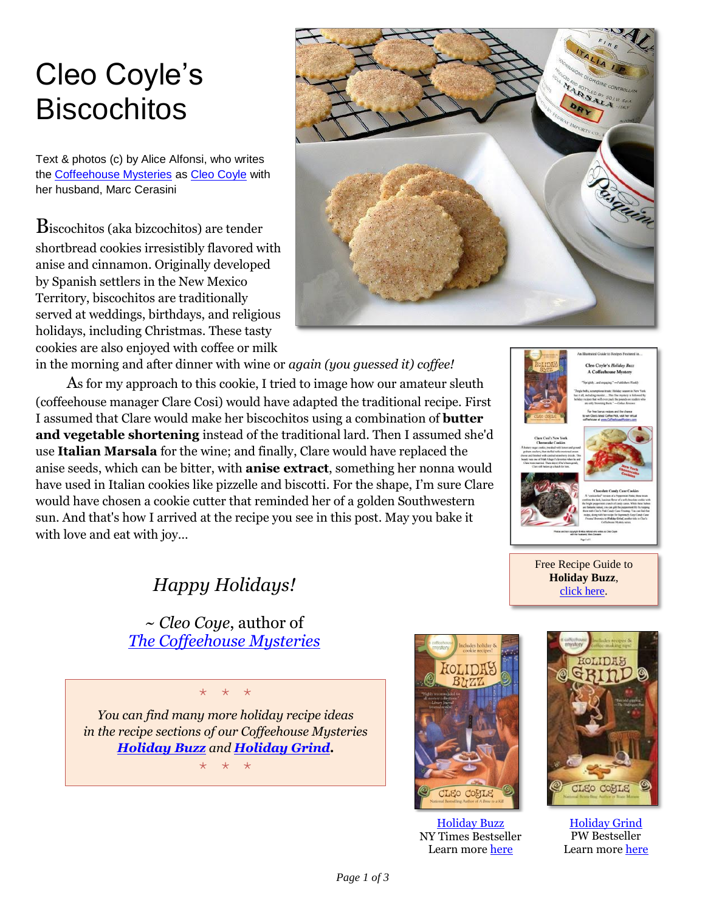## Cleo Coyle's **Biscochitos**

Text & photos (c) by Alice Alfonsi, who writes the [Coffeehouse](http://www.coffeehousemystery.com/about_coffeehouse_mystery_books.cfm) Mysteries as [Cleo Coyle](http://cleocoylebooks.com/about/) with her husband, Marc Cerasini

Biscochitos (aka bizcochitos) are tender shortbread cookies irresistibly flavored with anise and cinnamon. Originally developed by Spanish settlers in the New Mexico Territory, biscochitos are traditionally served at weddings, birthdays, and religious holidays, including Christmas. These tasty cookies are also enjoyed with coffee or milk



in the morning and after dinner with wine or *again (you guessed it) coffee!* 

As for my approach to this cookie, I tried to image how our amateur sleuth (coffeehouse manager Clare Cosi) would have adapted the traditional recipe. First I assumed that Clare would make her biscochitos using a combination of **butter and vegetable shortening** instead of the traditional lard. Then I assumed she'd use **Italian Marsala** for the wine; and finally, Clare would have replaced the anise seeds, which can be bitter, with **anise extract**, something her nonna would have used in Italian cookies like pizzelle and biscotti. For the shape, I'm sure Clare would have chosen a cookie cutter that reminded her of a golden Southwestern sun. And that's how I arrived at the recipe you see in this post. May you bake it with love and eat with joy…



**Holiday Buzz**, [click here.](http://www.coffeehousemystery.com/userfiles/file/Holiday-Buzz-Recipes_Cleo-Coyle.pdf)

*Happy Holidays!*

~ *Cleo Coye*, author of *[The Coffeehouse Mysteries](http://www.coffeehousemysteries.com/about_coffeehouse_mystery_books.cfm)*

\* \* \* *You can find many more holiday recipe ideas in the recipe sections of our Coffeehouse Mysteries [Holiday Buzz](https://cleocoylebooks.com/2015/09/01/12-holiday-buzz/) and [Holiday Grind.](https://cleocoylebooks.com/2015/09/01/8-holiday-grind/)*

\* \* \*



**[Holiday Buzz](https://cleocoylebooks.com/2015/09/01/12-holiday-buzz/)** NY Times Bestseller Learn more [here](https://cleocoylebooks.com/2015/09/01/12-holiday-buzz/)



**[Holiday Grind](https://cleocoylebooks.com/2015/09/01/8-holiday-grind/)** PW Bestseller Learn mor[e here](https://cleocoylebooks.com/2015/09/01/8-holiday-grind/)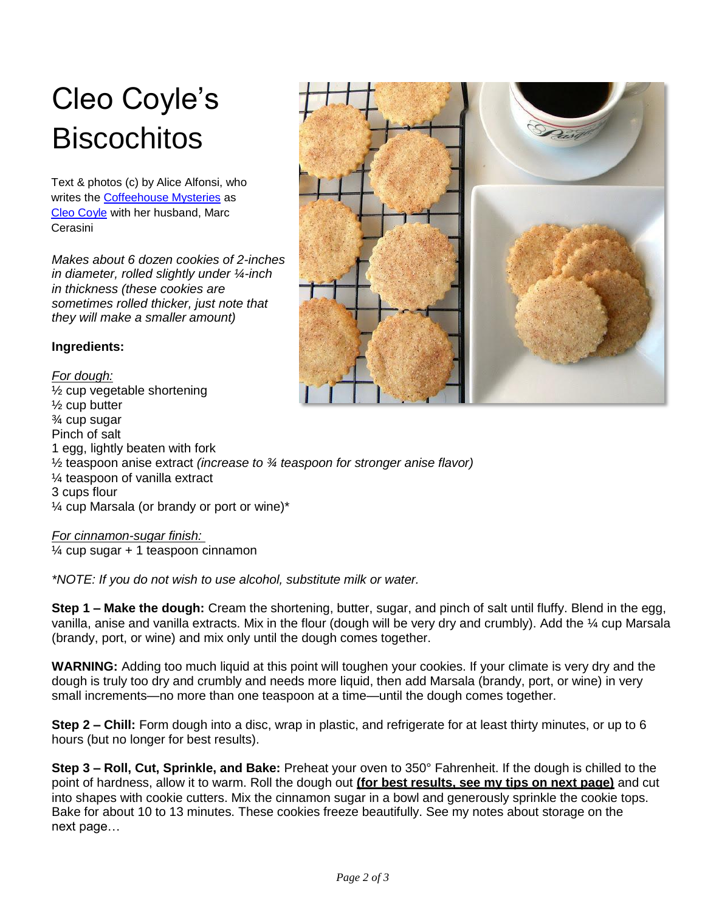## Cleo Coyle's **Biscochitos**

Text & photos (c) by Alice Alfonsi, who writes the [Coffeehouse](http://www.coffeehousemystery.com/about_coffeehouse_mystery_books.cfm) Mysteries as [Cleo Coyle](http://cleocoylebooks.com/about/) with her husband, Marc **Cerasini** 

*Makes about 6 dozen cookies of 2-inches in diameter, rolled slightly under ¼-inch in thickness (these cookies are sometimes rolled thicker, just note that they will make a smaller amount)*

## **Ingredients:**

*For dough:* ½ cup vegetable shortening ½ cup butter ¾ cup sugar Pinch of salt 1 egg, lightly beaten with fork ½ teaspoon anise extract *(increase to ¾ teaspoon for stronger anise flavor)* ¼ teaspoon of vanilla extract 3 cups flour ¼ cup Marsala (or brandy or port or wine)\*

*For cinnamon-sugar finish:*   $\frac{1}{4}$  cup sugar + 1 teaspoon cinnamon

*\*NOTE: If you do not wish to use alcohol, substitute milk or water.*

**Step 1 – Make the dough:** Cream the shortening, butter, sugar, and pinch of salt until fluffy. Blend in the egg, vanilla, anise and vanilla extracts. Mix in the flour (dough will be very dry and crumbly). Add the ¼ cup Marsala (brandy, port, or wine) and mix only until the dough comes together.

**WARNING:** Adding too much liquid at this point will toughen your cookies. If your climate is very dry and the dough is truly too dry and crumbly and needs more liquid, then add Marsala (brandy, port, or wine) in very small increments—no more than one teaspoon at a time—until the dough comes together.

**Step 2 – Chill:** Form dough into a disc, wrap in plastic, and refrigerate for at least thirty minutes, or up to 6 hours (but no longer for best results).

**Step 3 – Roll, Cut, Sprinkle, and Bake:** Preheat your oven to 350° Fahrenheit. If the dough is chilled to the point of hardness, allow it to warm. Roll the dough out **(for best results, see my tips on next page)** and cut into shapes with cookie cutters. Mix the cinnamon sugar in a bowl and generously sprinkle the cookie tops. Bake for about 10 to 13 minutes. These cookies freeze beautifully. See my notes about storage on the next page…